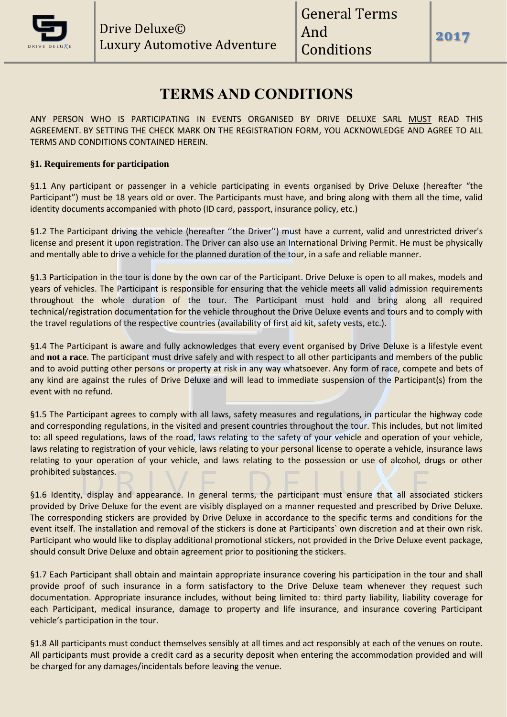

**2017**

# **TERMS AND CONDITIONS**

ANY PERSON WHO IS PARTICIPATING IN EVENTS ORGANISED BY DRIVE DELUXE SARL MUST READ THIS AGREEMENT. BY SETTING THE CHECK MARK ON THE REGISTRATION FORM, YOU ACKNOWLEDGE AND AGREE TO ALL TERMS AND CONDITIONS CONTAINED HEREIN.

# **§1. Requirements for participation**

§1.1 Any participant or passenger in a vehicle participating in events organised by Drive Deluxe (hereafter "the Participant") must be 18 years old or over. The Participants must have, and bring along with them all the time, valid identity documents accompanied with photo (ID card, passport, insurance policy, etc.)

§1.2 The Participant driving the vehicle (hereafter ''the Driver'') must have a current, valid and unrestricted driver's license and present it upon registration. The Driver can also use an International Driving Permit. He must be physically and mentally able to drive a vehicle for the planned duration of the tour, in a safe and reliable manner.

§1.3 Participation in the tour is done by the own car of the Participant. Drive Deluxe is open to all makes, models and years of vehicles. The Participant is responsible for ensuring that the vehicle meets all valid admission requirements throughout the whole duration of the tour. The Participant must hold and bring along all required technical/registration documentation for the vehicle throughout the Drive Deluxe events and tours and to comply with the travel regulations of the respective countries (availability of first aid kit, safety vests, etc.).

§1.4 The Participant is aware and fully acknowledges that every event organised by Drive Deluxe is a lifestyle event and **not a race**. The participant must drive safely and with respect to all other participants and members of the public and to avoid putting other persons or property at risk in any way whatsoever. Any form of race, compete and bets of any kind are against the rules of Drive Deluxe and will lead to immediate suspension of the Participant(s) from the event with no refund.

§1.5 The Participant agrees to comply with all laws, safety measures and regulations, in particular the highway code and corresponding regulations, in the visited and present countries throughout the tour. This includes, but not limited to: all speed regulations, laws of the road, laws relating to the safety of your vehicle and operation of your vehicle, laws relating to registration of your vehicle, laws relating to your personal license to operate a vehicle, insurance laws relating to your operation of your vehicle, and laws relating to the possession or use of alcohol, drugs or other prohibited substances.

§1.6 Identity, display and appearance. In general terms, the participant must ensure that all associated stickers provided by Drive Deluxe for the event are visibly displayed on a manner requested and prescribed by Drive Deluxe. The corresponding stickers are provided by Drive Deluxe in accordance to the specific terms and conditions for the event itself. The installation and removal of the stickers is done at Participants` own discretion and at their own risk. Participant who would like to display additional promotional stickers, not provided in the Drive Deluxe event package, should consult Drive Deluxe and obtain agreement prior to positioning the stickers.

§1.7 Each Participant shall obtain and maintain appropriate insurance covering his participation in the tour and shall provide proof of such insurance in a form satisfactory to the Drive Deluxe team whenever they request such documentation. Appropriate insurance includes, without being limited to: third party liability, liability coverage for each Participant, medical insurance, damage to property and life insurance, and insurance covering Participant vehicle's participation in the tour.

§1.8 All participants must conduct themselves sensibly at all times and act responsibly at each of the venues on route. All participants must provide a credit card as a security deposit when entering the accommodation provided and will be charged for any damages/incidentals before leaving the venue.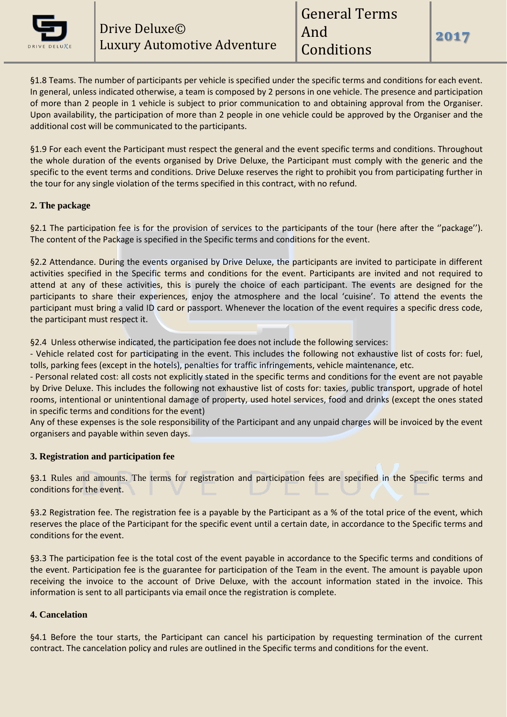

§1.8 Teams. The number of participants per vehicle is specified under the specific terms and conditions for each event. In general, unless indicated otherwise, a team is composed by 2 persons in one vehicle. The presence and participation of more than 2 people in 1 vehicle is subject to prior communication to and obtaining approval from the Organiser. Upon availability, the participation of more than 2 people in one vehicle could be approved by the Organiser and the additional cost will be communicated to the participants.

§1.9 For each event the Participant must respect the general and the event specific terms and conditions. Throughout the whole duration of the events organised by Drive Deluxe, the Participant must comply with the generic and the specific to the event terms and conditions. Drive Deluxe reserves the right to prohibit you from participating further in the tour for any single violation of the terms specified in this contract, with no refund.

# **2. The package**

§2.1 The participation fee is for the provision of services to the participants of the tour (here after the "package"). The content of the Package is specified in the Specific terms and conditions for the event.

§2.2 Attendance. During the events organised by Drive Deluxe, the participants are invited to participate in different activities specified in the Specific terms and conditions for the event. Participants are invited and not required to attend at any of these activities, this is purely the choice of each participant. The events are designed for the participants to share their experiences, enjoy the atmosphere and the local 'cuisine'. To attend the events the participant must bring a valid ID card or passport. Whenever the location of the event requires a specific dress code, the participant must respect it.

§2.4 Unless otherwise indicated, the participation fee does not include the following services:

- Vehicle related cost for participating in the event. This includes the following not exhaustive list of costs for: fuel, tolls, parking fees (except in the hotels), penalties for traffic infringements, vehicle maintenance, etc.

- Personal related cost: all costs not explicitly stated in the specific terms and conditions for the event are not payable by Drive Deluxe. This includes the following not exhaustive list of costs for: taxies, public transport, upgrade of hotel rooms, intentional or unintentional damage of property, used hotel services, food and drinks (except the ones stated in specific terms and conditions for the event)

Any of these expenses is the sole responsibility of the Participant and any unpaid charges will be invoiced by the event organisers and payable within seven days.

# **3. Registration and participation fee**

§3.1 Rules and amounts. The terms for registration and participation fees are specified in the Specific terms and conditions for the event.

§3.2 Registration fee. The registration fee is a payable by the Participant as a % of the total price of the event, which reserves the place of the Participant for the specific event until a certain date, in accordance to the Specific terms and conditions for the event.

§3.3 The participation fee is the total cost of the event payable in accordance to the Specific terms and conditions of the event. Participation fee is the guarantee for participation of the Team in the event. The amount is payable upon receiving the invoice to the account of Drive Deluxe, with the account information stated in the invoice. This information is sent to all participants via email once the registration is complete.

### **4. Cancelation**

§4.1 Before the tour starts, the Participant can cancel his participation by requesting termination of the current contract. The cancelation policy and rules are outlined in the Specific terms and conditions for the event.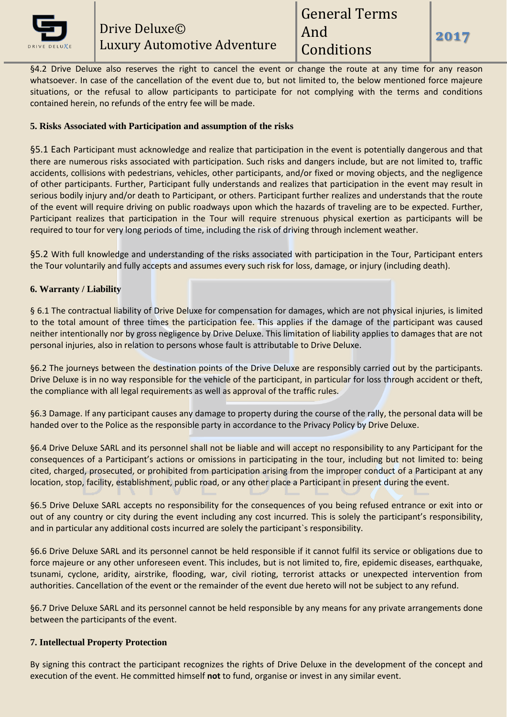

§4.2 Drive Deluxe also reserves the right to cancel the event or change the route at any time for any reason whatsoever. In case of the cancellation of the event due to, but not limited to, the below mentioned force majeure situations, or the refusal to allow participants to participate for not complying with the terms and conditions contained herein, no refunds of the entry fee will be made.

# **5. Risks Associated with Participation and assumption of the risks**

§5.1 Each Participant must acknowledge and realize that participation in the event is potentially dangerous and that there are numerous risks associated with participation. Such risks and dangers include, but are not limited to, traffic accidents, collisions with pedestrians, vehicles, other participants, and/or fixed or moving objects, and the negligence of other participants. Further, Participant fully understands and realizes that participation in the event may result in serious bodily injury and/or death to Participant, or others. Participant further realizes and understands that the route of the event will require driving on public roadways upon which the hazards of traveling are to be expected. Further, Participant realizes that participation in the Tour will require strenuous physical exertion as participants will be required to tour for very long periods of time, including the risk of driving through inclement weather.

§5.2 With full knowledge and understanding of the risks associated with participation in the Tour, Participant enters the Tour voluntarily and fully accepts and assumes every such risk for loss, damage, or injury (including death).

# **6. Warranty / Liability**

§ 6.1 The contractual liability of Drive Deluxe for compensation for damages, which are not physical injuries, is limited to the total amount of three times the participation fee. This applies if the damage of the participant was caused neither intentionally nor by gross negligence by Drive Deluxe. This limitation of liability applies to damages that are not personal injuries, also in relation to persons whose fault is attributable to Drive Deluxe.

§6.2 The journeys between the destination points of the Drive Deluxe are responsibly carried out by the participants. Drive Deluxe is in no way responsible for the vehicle of the participant, in particular for loss through accident or theft, the compliance with all legal requirements as well as approval of the traffic rules.

§6.3 Damage. If any participant causes any damage to property during the course of the rally, the personal data will be handed over to the Police as the responsible party in accordance to the Privacy Policy by Drive Deluxe.

§6.4 Drive Deluxe SARL and its personnel shall not be liable and will accept no responsibility to any Participant for the consequences of a Participant's actions or omissions in participating in the tour, including but not limited to: being cited, charged, prosecuted, or prohibited from participation arising from the improper conduct of a Participant at any location, stop, facility, establishment, public road, or any other place a Participant in present during the event.

§6.5 Drive Deluxe SARL accepts no responsibility for the consequences of you being refused entrance or exit into or out of any country or city during the event including any cost incurred. This is solely the participant's responsibility, and in particular any additional costs incurred are solely the participant`s responsibility.

§6.6 Drive Deluxe SARL and its personnel cannot be held responsible if it cannot fulfil its service or obligations due to force majeure or any other unforeseen event. This includes, but is not limited to, fire, epidemic diseases, earthquake, tsunami, cyclone, aridity, airstrike, flooding, war, civil rioting, terrorist attacks or unexpected intervention from authorities. Cancellation of the event or the remainder of the event due hereto will not be subject to any refund.

§6.7 Drive Deluxe SARL and its personnel cannot be held responsible by any means for any private arrangements done between the participants of the event.

# **7. Intellectual Property Protection**

By signing this contract the participant recognizes the rights of Drive Deluxe in the development of the concept and execution of the event. He committed himself **not** to fund, organise or invest in any similar event.